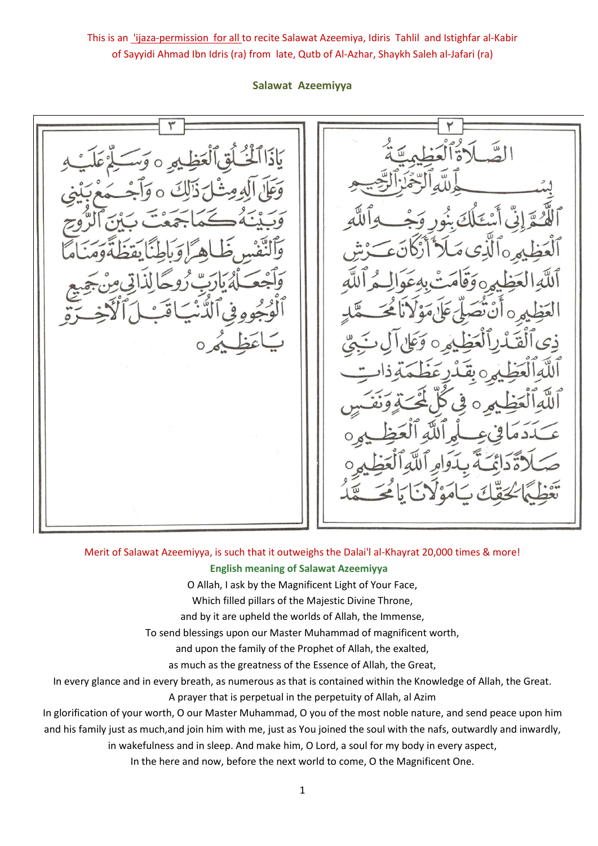This is an *lijaza-permission for all* to recite Salawat Azeemiya, Idiris Tahlil and Istighfar al-Kabir of Sayyidi Ahmad Ibn Idris (ra) from late, Qutb of Al-Azhar, Shaykh Saleh al-Jafari (ra)

**Salawat Azeemiyya**

# Merit of Salawat Azeemiyya, is such that it outweighs the Dalai'l al-Khayrat 20,000 times & more! **English meaning of Salawat Azeemiyya**

O Allah, I ask by the Magnificent Light of Your Face,

Which filled pillars of the Majestic Divine Throne,

and by it are upheld the worlds of Allah, the Immense,

To send blessings upon our Master Muhammad of magnificent worth,

and upon the family of the Prophet of Allah, the exalted,

as much as the greatness of the Essence of Allah, the Great,

In every glance and in every breath, as numerous as that is contained within the Knowledge of Allah, the Great.

A prayer that is perpetual in the perpetuity of Allah, al Azim

In glorification of your worth, O our Master Muhammad, O you of the most noble nature, and send peace upon him and his family just as much,and join him with me, just as You joined the soul with the nafs, outwardly and inwardly,

in wakefulness and in sleep. And make him, O Lord, a soul for my body in every aspect,

In the here and now, before the next world to come, O the Magnificent One.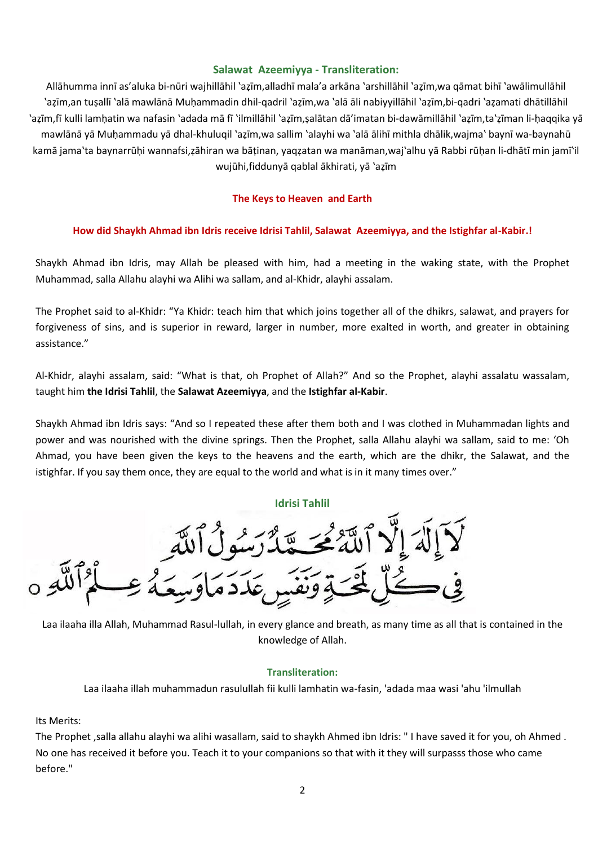## **Salawat Azeemiyya - Transliteration:**

Allāhumma innī as'aluka bi-nūri wajhillāhil 'aẓīm,alladhī mala'a arkāna 'arshillāhil 'aẓīm,wa qāmat bihī 'awālimullāhil 'aẓīm,an tuṣallī 'alā mawlānā Muḥammadin dhil-qadril 'aẓīm,wa 'alā āli nabiyyillāhil 'aẓīm,bi-qadri 'aẓamati dhātillāhil 'aẓīm,fī kulli lamḥatin wa nafasin 'adada mā fī 'ilmillāhil 'aẓīm,ṣalātan dā'imatan bi-dawāmillāhil 'aẓīm,ta'ẓīman li-ḥaqqika yā mawlānā yā Muḥammadu yā dhal-khuluqil 'aẓīm,wa sallim 'alayhi wa 'alā ālihī mithla dhālik,wajma' baynī wa-baynahū kamā jama'ta baynarrūḥi wannafsi,ẓāhiran wa bāṭinan, yaqẓatan wa manāman,waj'alhu yā Rabbi rūḥan li-dhātī min jamī'il wujūhi,fiddunyā qablal ākhirati, yā 'aẓīm

### **The Keys to Heaven and Earth**

#### **How did Shaykh Ahmad ibn Idris receive Idrisi Tahlil, Salawat Azeemiyya, and the Istighfar al-Kabir.!**

Shaykh Ahmad ibn Idris, may Allah be pleased with him, had a meeting in the waking state, with the Prophet Muhammad, salla Allahu alayhi wa Alihi wa sallam, and al-Khidr, alayhi assalam.

The Prophet said to al-Khidr: "Ya Khidr: teach him that which joins together all of the dhikrs, salawat, and prayers for forgiveness of sins, and is superior in reward, larger in number, more exalted in worth, and greater in obtaining assistance."

Al-Khidr, alayhi assalam, said: "What is that, oh Prophet of Allah?" And so the Prophet, alayhi assalatu wassalam, taught him **the Idrisi Tahlil**, the **Salawat Azeemiyya**, and the **Istighfar al-Kabir**.

Shaykh Ahmad ibn Idris says: "And so I repeated these after them both and I was clothed in Muhammadan lights and power and was nourished with the divine springs. Then the Prophet, salla Allahu alayhi wa sallam, said to me: 'Oh Ahmad, you have been given the keys to the heavens and the earth, which are the dhikr, the Salawat, and the istighfar. If you say them once, they are equal to the world and what is in it many times over."

#### **Idrisi Tahlil**



Laa ilaaha illa Allah, Muhammad Rasul-lullah, in every glance and breath, as many time as all that is contained in the knowledge of Allah.

#### **Transliteration:**

Laa ilaaha illah muhammadun rasulullah fii kulli lamhatin wa-fasin, 'adada maa wasi 'ahu 'ilmullah

#### Its Merits:

The Prophet ,salla allahu alayhi wa alihi wasallam, said to shaykh Ahmed ibn Idris: " I have saved it for you, oh Ahmed . No one has received it before you. Teach it to your companions so that with it they will surpasss those who came before."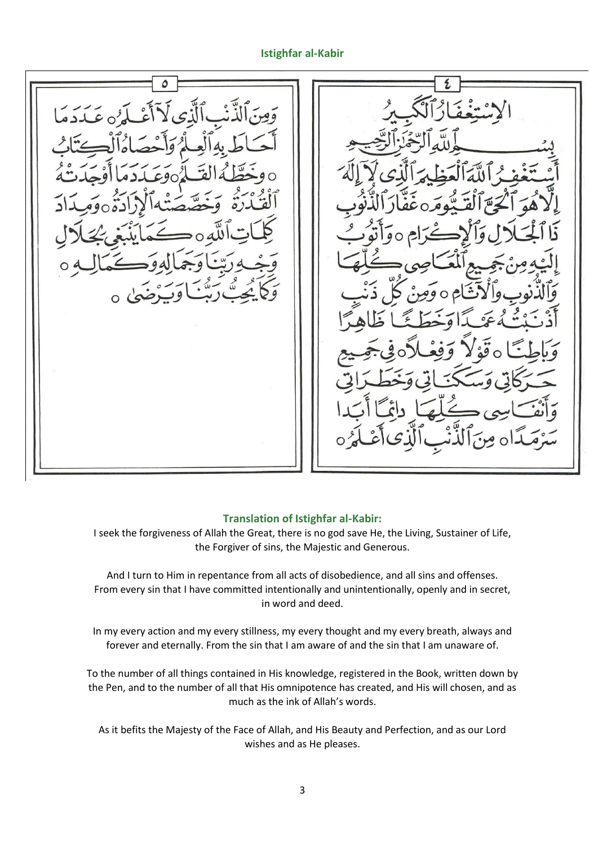## **Istighfar al-Kabir**

#### **Translation of Istighfar al-Kabir:**

I seek the forgiveness of Allah the Great, there is no god save He, the Living, Sustainer of Life, the Forgiver of sins, the Majestic and Generous.

And I turn to Him in repentance from all acts of disobedience, and all sins and offenses. From every sin that I have committed intentionally and unintentionally, openly and in secret, in word and deed.

In my every action and my every stillness, my every thought and my every breath, always and forever and eternally. From the sin that I am aware of and the sin that I am unaware of.

To the number of all things contained in His knowledge, registered in the Book, written down by the Pen, and to the number of all that His omnipotence has created, and His will chosen, and as much as the ink of Allah's words.

As it befits the Majesty of the Face of Allah, and His Beauty and Perfection, and as our Lord wishes and as He pleases.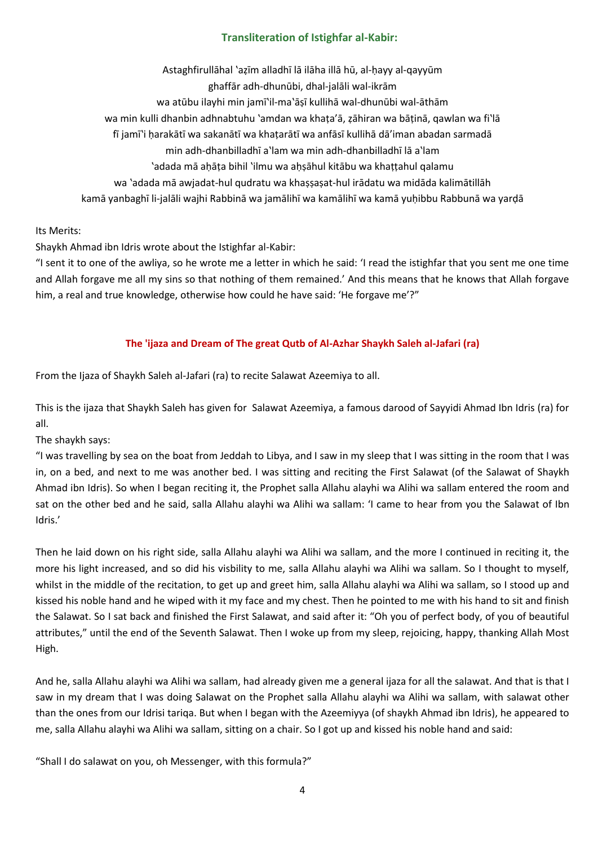# **Transliteration of Istighfar al-Kabir:**

Astaghfirullāhal 'aẓīm alladhī lā ilāha illā hū, al-ḥayy al-qayyūm

ghaffār adh-dhunūbi, dhal-jalāli wal-ikrām

wa atūbu ilayhi min jamī'il-ma'āṣī kullihā wal-dhunūbi wal-āthām

wa min kulli dhanbin adhnabtuhu 'amdan wa khaṭa'ā, ẓāhiran wa bāṭinā, qawlan wa fi'lā

- fī jamī'i ḥarakātī wa sakanātī wa khaṭarātī wa anfāsī kullihā dā'iman abadan sarmadā
	- min adh-dhanbilladhī a'lam wa min adh-dhanbilladhī lā a'lam
	- 'adada mā aḥāṭa bihil 'ilmu wa aḥṣāhul kitābu wa khaṭṭahul qalamu
- wa 'adada mā awjadat-hul qudratu wa khaṣṣaṣat-hul irādatu wa midāda kalimātillāh

kamā yanbaghī li-jalāli wajhi Rabbinā wa jamālihī wa kamālihī wa kamā yuḥibbu Rabbunā wa yarḍā

# Its Merits:

Shaykh Ahmad ibn Idris wrote about the Istighfar al-Kabir:

"I sent it to one of the awliya, so he wrote me a letter in which he said: 'I read the istighfar that you sent me one time and Allah forgave me all my sins so that nothing of them remained.' And this means that he knows that Allah forgave him, a real and true knowledge, otherwise how could he have said: 'He forgave me'?"

# **The 'ijaza and Dream of The great Qutb of Al-Azhar Shaykh Saleh al-Jafari (ra)**

From the Ijaza of Shaykh Saleh al-Jafari (ra) to recite Salawat Azeemiya to all.

This is the ijaza that Shaykh Saleh has given for Salawat Azeemiya, a famous darood of Sayyidi Ahmad Ibn Idris (ra) for all.

# The shaykh says:

"I was travelling by sea on the boat from Jeddah to Libya, and I saw in my sleep that I was sitting in the room that I was in, on a bed, and next to me was another bed. I was sitting and reciting the First Salawat (of the Salawat of Shaykh Ahmad ibn Idris). So when I began reciting it, the Prophet salla Allahu alayhi wa Alihi wa sallam entered the room and sat on the other bed and he said, salla Allahu alayhi wa Alihi wa sallam: 'I came to hear from you the Salawat of Ibn Idris.'

Then he laid down on his right side, salla Allahu alayhi wa Alihi wa sallam, and the more I continued in reciting it, the more his light increased, and so did his visbility to me, salla Allahu alayhi wa Alihi wa sallam. So I thought to myself, whilst in the middle of the recitation, to get up and greet him, salla Allahu alayhi wa Alihi wa sallam, so I stood up and kissed his noble hand and he wiped with it my face and my chest. Then he pointed to me with his hand to sit and finish the Salawat. So I sat back and finished the First Salawat, and said after it: "Oh you of perfect body, of you of beautiful attributes," until the end of the Seventh Salawat. Then I woke up from my sleep, rejoicing, happy, thanking Allah Most High.

And he, salla Allahu alayhi wa Alihi wa sallam, had already given me a general ijaza for all the salawat. And that is that I saw in my dream that I was doing Salawat on the Prophet salla Allahu alayhi wa Alihi wa sallam, with salawat other than the ones from our Idrisi tariqa. But when I began with the Azeemiyya (of shaykh Ahmad ibn Idris), he appeared to me, salla Allahu alayhi wa Alihi wa sallam, sitting on a chair. So I got up and kissed his noble hand and said:

"Shall I do salawat on you, oh Messenger, with this formula?"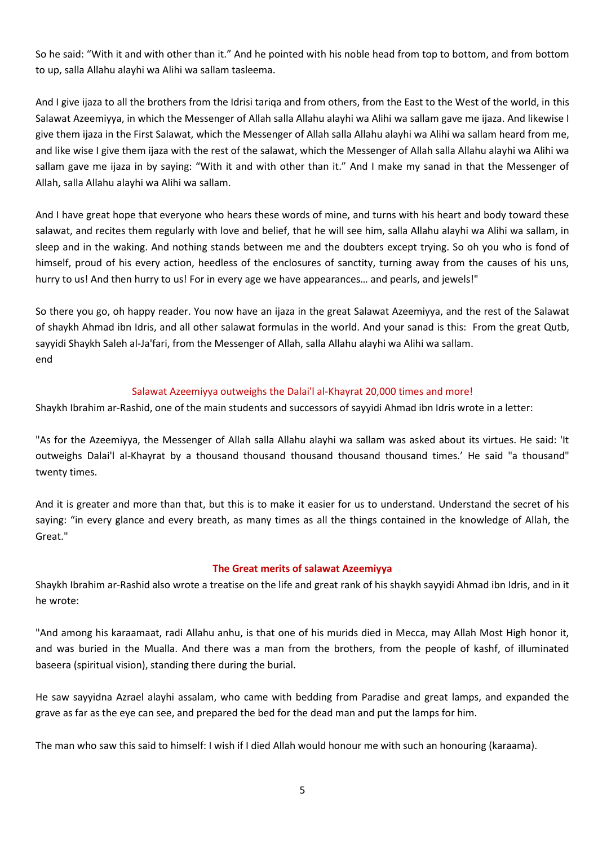So he said: "With it and with other than it." And he pointed with his noble head from top to bottom, and from bottom to up, salla Allahu alayhi wa Alihi wa sallam tasleema.

And I give ijaza to all the brothers from the Idrisi tariqa and from others, from the East to the West of the world, in this Salawat Azeemiyya, in which the Messenger of Allah salla Allahu alayhi wa Alihi wa sallam gave me ijaza. And likewise I give them ijaza in the First Salawat, which the Messenger of Allah salla Allahu alayhi wa Alihi wa sallam heard from me, and like wise I give them ijaza with the rest of the salawat, which the Messenger of Allah salla Allahu alayhi wa Alihi wa sallam gave me ijaza in by saying: "With it and with other than it." And I make my sanad in that the Messenger of Allah, salla Allahu alayhi wa Alihi wa sallam.

And I have great hope that everyone who hears these words of mine, and turns with his heart and body toward these salawat, and recites them regularly with love and belief, that he will see him, salla Allahu alayhi wa Alihi wa sallam, in sleep and in the waking. And nothing stands between me and the doubters except trying. So oh you who is fond of himself, proud of his every action, heedless of the enclosures of sanctity, turning away from the causes of his uns, hurry to us! And then hurry to us! For in every age we have appearances… and pearls, and jewels!"

So there you go, oh happy reader. You now have an ijaza in the great Salawat Azeemiyya, and the rest of the Salawat of shaykh Ahmad ibn Idris, and all other salawat formulas in the world. And your sanad is this: From the great Qutb, sayyidi Shaykh Saleh al-Ja'fari, from the Messenger of Allah, salla Allahu alayhi wa Alihi wa sallam. end

### Salawat Azeemiyya outweighs the Dalai'l al-Khayrat 20,000 times and more!

Shaykh Ibrahim ar-Rashid, one of the main students and successors of sayyidi Ahmad ibn Idris wrote in a letter:

"As for the Azeemiyya, the Messenger of Allah salla Allahu alayhi wa sallam was asked about its virtues. He said: 'It outweighs Dalai'l al-Khayrat by a thousand thousand thousand thousand thousand times.' He said "a thousand" twenty times.

And it is greater and more than that, but this is to make it easier for us to understand. Understand the secret of his saying: "in every glance and every breath, as many times as all the things contained in the knowledge of Allah, the Great."

### **The Great merits of salawat Azeemiyya**

Shaykh Ibrahim ar-Rashid also wrote a treatise on the life and great rank of his shaykh sayyidi Ahmad ibn Idris, and in it he wrote:

"And among his karaamaat, radi Allahu anhu, is that one of his murids died in Mecca, may Allah Most High honor it, and was buried in the Mualla. And there was a man from the brothers, from the people of kashf, of illuminated baseera (spiritual vision), standing there during the burial.

He saw sayyidna Azrael alayhi assalam, who came with bedding from Paradise and great lamps, and expanded the grave as far as the eye can see, and prepared the bed for the dead man and put the lamps for him.

The man who saw this said to himself: I wish if I died Allah would honour me with such an honouring (karaama).